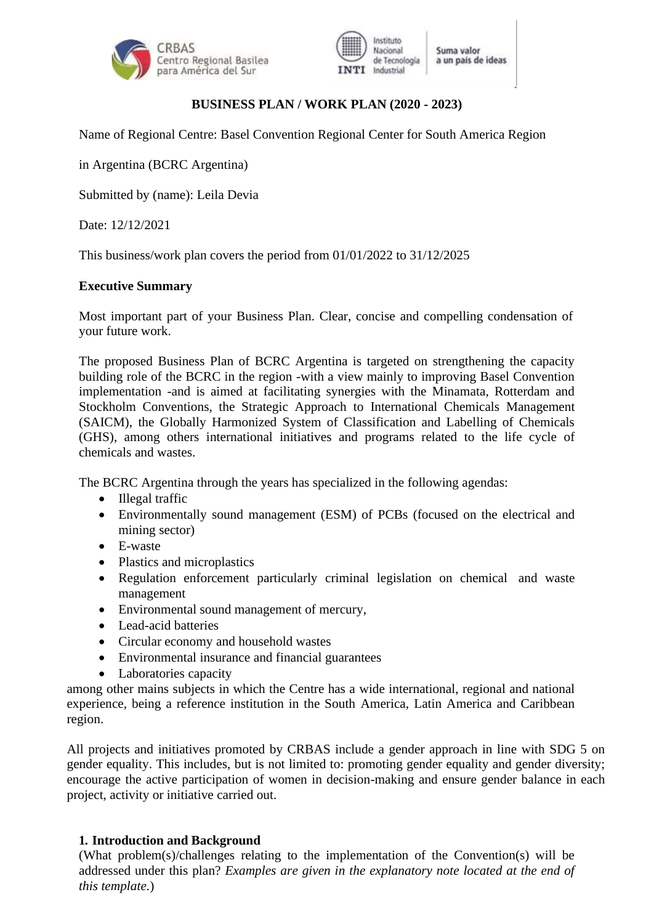



## **BUSINESS PLAN / WORK PLAN (2020 - 2023)**

Name of Regional Centre: Basel Convention Regional Center for South America Region

in Argentina (BCRC Argentina)

Submitted by (name): Leila Devia

Date: 12/12/2021

This business/work plan covers the period from 01/01/2022 to 31/12/2025

### **Executive Summary**

Most important part of your Business Plan. Clear, concise and compelling condensation of your future work.

The proposed Business Plan of BCRC Argentina is targeted on strengthening the capacity building role of the BCRC in the region -with a view mainly to improving Basel Convention implementation -and is aimed at facilitating synergies with the Minamata, Rotterdam and Stockholm Conventions, the Strategic Approach to International Chemicals Management (SAICM), the Globally Harmonized System of Classification and Labelling of Chemicals (GHS), among others international initiatives and programs related to the life cycle of chemicals and wastes.

The BCRC Argentina through the years has specialized in the following agendas:

- Illegal traffic
- Environmentally sound management (ESM) of PCBs (focused on the electrical and mining sector)
- E-waste
- Plastics and microplastics
- Regulation enforcement particularly criminal legislation on chemical and waste management
- Environmental sound management of mercury,
- Lead-acid batteries
- Circular economy and household wastes
- Environmental insurance and financial guarantees
- Laboratories capacity

among other mains subjects in which the Centre has a wide international, regional and national experience, being a reference institution in the South America, Latin America and Caribbean region.

All projects and initiatives promoted by CRBAS include a gender approach in line with SDG 5 on gender equality. This includes, but is not limited to: promoting gender equality and gender diversity; encourage the active participation of women in decision-making and ensure gender balance in each project, activity or initiative carried out.

## **1. Introduction and Background**

(What problem(s)/challenges relating to the implementation of the Convention(s) will be addressed under this plan? *Examples are given in the explanatory note located at the end of this template.*)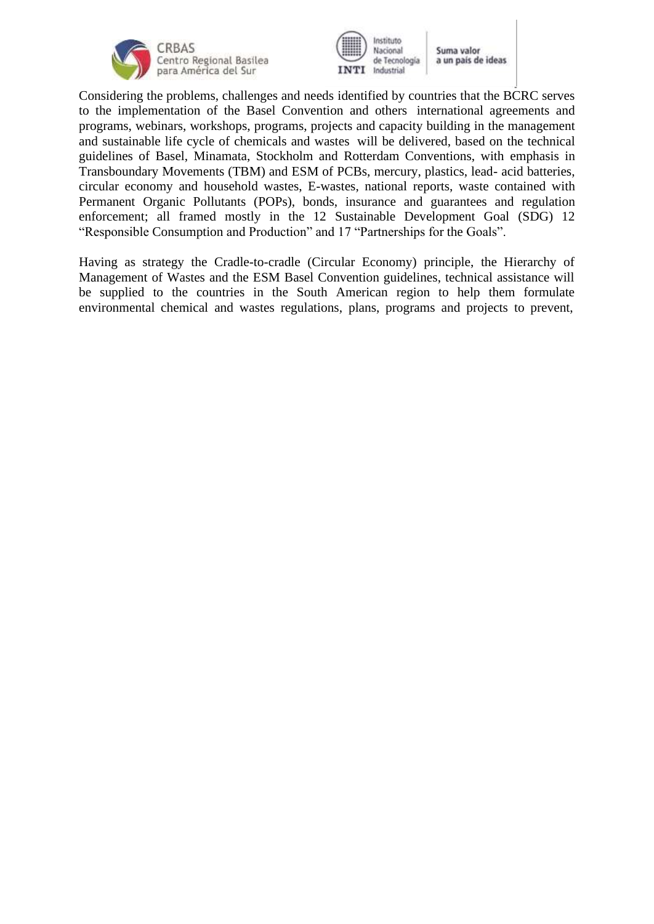



Considering the problems, challenges and needs identified by countries that the BCRC serves to the implementation of the Basel Convention and others international agreements and programs, webinars, workshops, programs, projects and capacity building in the management and sustainable life cycle of chemicals and wastes will be delivered, based on the technical guidelines of Basel, Minamata, Stockholm and Rotterdam Conventions, with emphasis in Transboundary Movements (TBM) and ESM of PCBs, mercury, plastics, lead- acid batteries, circular economy and household wastes, E-wastes, national reports, waste contained with Permanent Organic Pollutants (POPs), bonds, insurance and guarantees and regulation enforcement; all framed mostly in the 12 Sustainable Development Goal (SDG) 12 "Responsible Consumption and Production" and 17 "Partnerships for the Goals".

Having as strategy the Cradle-to-cradle (Circular Economy) principle, the Hierarchy of Management of Wastes and the ESM Basel Convention guidelines, technical assistance will be supplied to the countries in the South American region to help them formulate environmental chemical and wastes regulations, plans, programs and projects to prevent,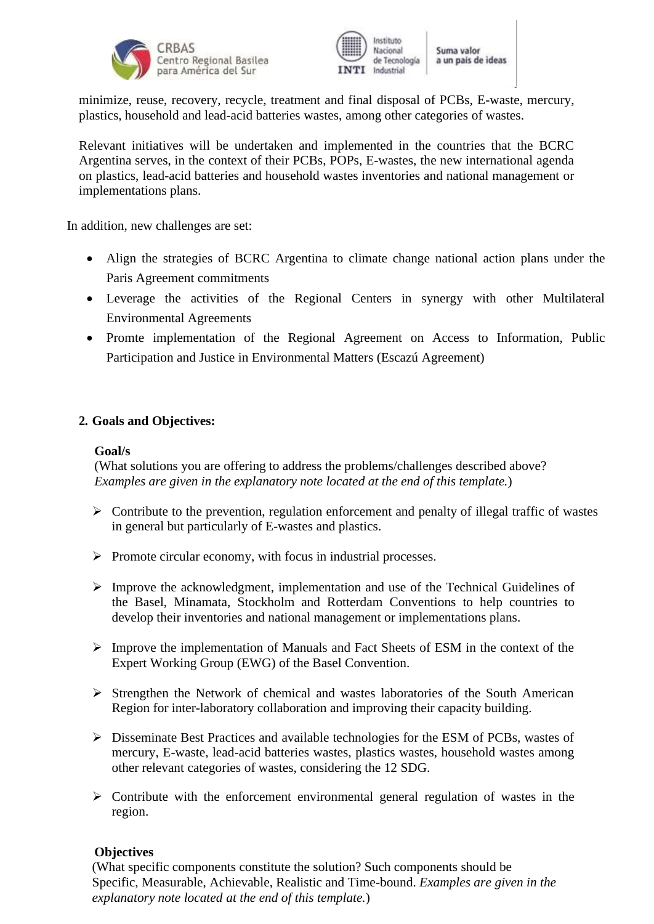



minimize, reuse, recovery, recycle, treatment and final disposal of PCBs, E-waste, mercury, plastics, household and lead-acid batteries wastes, among other categories of wastes.

Relevant initiatives will be undertaken and implemented in the countries that the BCRC Argentina serves, in the context of their PCBs, POPs, E-wastes, the new international agenda on plastics, lead-acid batteries and household wastes inventories and national management or implementations plans.

In addition, new challenges are set:

- Align the strategies of BCRC Argentina to climate change national action plans under the Paris Agreement commitments
- Leverage the activities of the Regional Centers in synergy with other Multilateral Environmental Agreements
- Promte implementation of the Regional Agreement on Access to Information, Public Participation and Justice in Environmental Matters (Escazú Agreement)

## **2. Goals and Objectives:**

#### **Goal/s**

(What solutions you are offering to address the problems/challenges described above? *Examples are given in the explanatory note located at the end of this template.*)

- ➢ Contribute to the prevention, regulation enforcement and penalty of illegal traffic of wastes in general but particularly of E-wastes and plastics.
- ➢ Promote circular economy, with focus in industrial processes.
- ➢ Improve the acknowledgment, implementation and use of the Technical Guidelines of the Basel, Minamata, Stockholm and Rotterdam Conventions to help countries to develop their inventories and national management or implementations plans.
- ➢ Improve the implementation of Manuals and Fact Sheets of ESM in the context of the Expert Working Group (EWG) of the Basel Convention.
- ➢ Strengthen the Network of chemical and wastes laboratories of the South American Region for inter-laboratory collaboration and improving their capacity building.
- ➢ Disseminate Best Practices and available technologies for the ESM of PCBs, wastes of mercury, E-waste, lead-acid batteries wastes, plastics wastes, household wastes among other relevant categories of wastes, considering the 12 SDG.
- ➢ Contribute with the enforcement environmental general regulation of wastes in the region.

#### **Objectives**

(What specific components constitute the solution? Such components should be Specific, Measurable, Achievable, Realistic and Time-bound. *Examples are given in the explanatory note located at the end of this template.*)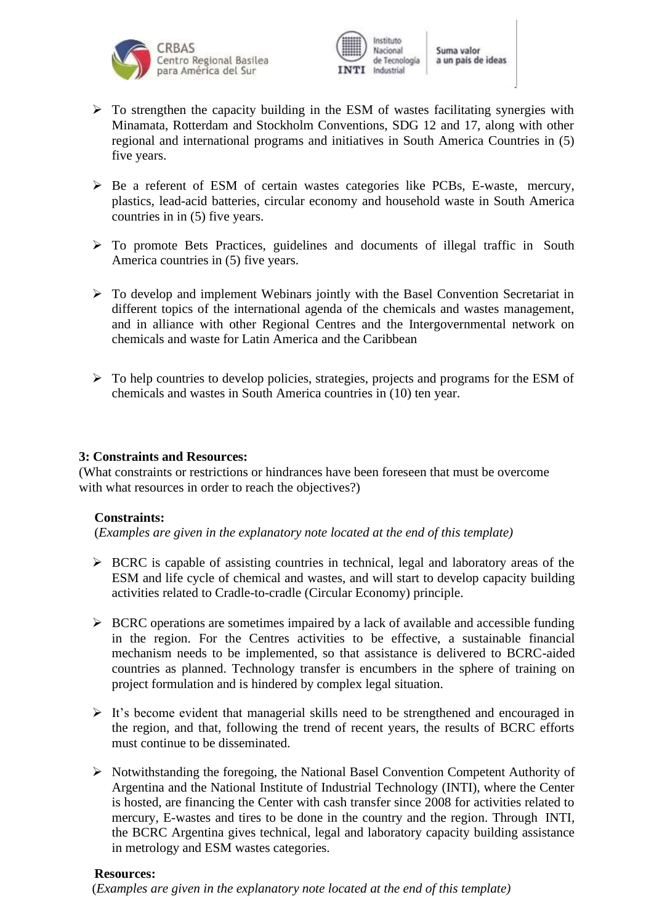



- $\triangleright$  To strengthen the capacity building in the ESM of wastes facilitating synergies with Minamata, Rotterdam and Stockholm Conventions, SDG 12 and 17, along with other regional and international programs and initiatives in South America Countries in (5) five years.
- ➢ Be a referent of ESM of certain wastes categories like PCBs, E-waste, mercury, plastics, lead-acid batteries, circular economy and household waste in South America countries in in (5) five years.
- ➢ To promote Bets Practices, guidelines and documents of illegal traffic in South America countries in (5) five years.
- ➢ To develop and implement Webinars jointly with the Basel Convention Secretariat in different topics of the international agenda of the chemicals and wastes management, and in alliance with other Regional Centres and the Intergovernmental network on chemicals and waste for Latin America and the Caribbean
- ➢ To help countries to develop policies, strategies, projects and programs for the ESM of chemicals and wastes in South America countries in (10) ten year.

#### **3: Constraints and Resources:**

(What constraints or restrictions or hindrances have been foreseen that must be overcome with what resources in order to reach the objectives?)

#### **Constraints:**

(*Examples are given in the explanatory note located at the end of this template)*

- ➢ BCRC is capable of assisting countries in technical, legal and laboratory areas of the ESM and life cycle of chemical and wastes, and will start to develop capacity building activities related to Cradle-to-cradle (Circular Economy) principle.
- $\triangleright$  BCRC operations are sometimes impaired by a lack of available and accessible funding in the region. For the Centres activities to be effective, a sustainable financial mechanism needs to be implemented, so that assistance is delivered to BCRC-aided countries as planned. Technology transfer is encumbers in the sphere of training on project formulation and is hindered by complex legal situation.
- ➢ It's become evident that managerial skills need to be strengthened and encouraged in the region, and that, following the trend of recent years, the results of BCRC efforts must continue to be disseminated.
- ➢ Notwithstanding the foregoing, the National Basel Convention Competent Authority of Argentina and the National Institute of Industrial Technology (INTI), where the Center is hosted, are financing the Center with cash transfer since 2008 for activities related to mercury, E-wastes and tires to be done in the country and the region. Through INTI, the BCRC Argentina gives technical, legal and laboratory capacity building assistance in metrology and ESM wastes categories.

#### **Resources:**

(*Examples are given in the explanatory note located at the end of this template)*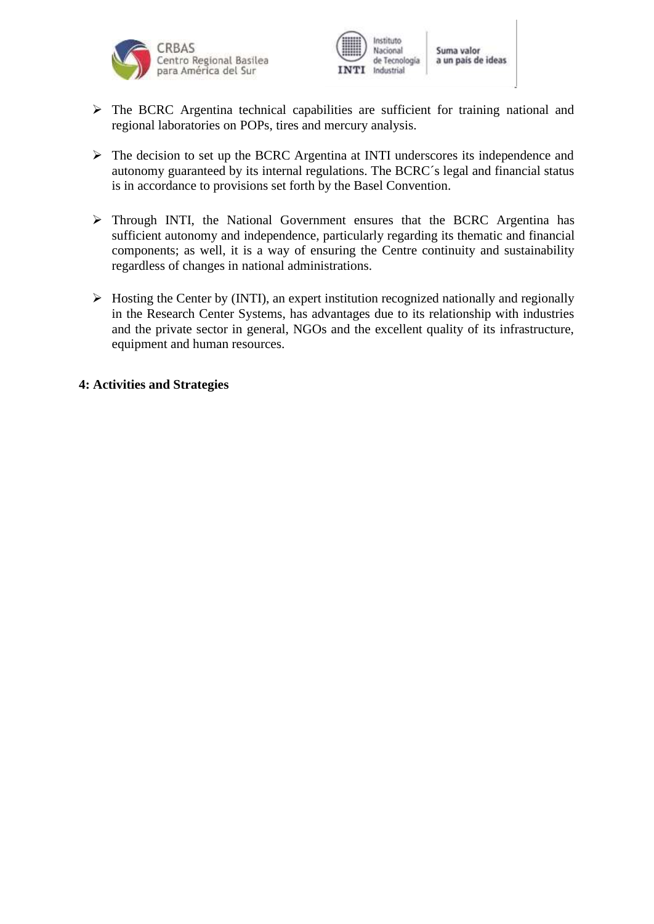



- ➢ The BCRC Argentina technical capabilities are sufficient for training national and regional laboratories on POPs, tires and mercury analysis.
- ➢ The decision to set up the BCRC Argentina at INTI underscores its independence and autonomy guaranteed by its internal regulations. The BCRC´s legal and financial status is in accordance to provisions set forth by the Basel Convention.
- ➢ Through INTI, the National Government ensures that the BCRC Argentina has sufficient autonomy and independence, particularly regarding its thematic and financial components; as well, it is a way of ensuring the Centre continuity and sustainability regardless of changes in national administrations.
- ➢ Hosting the Center by (INTI), an expert institution recognized nationally and regionally in the Research Center Systems, has advantages due to its relationship with industries and the private sector in general, NGOs and the excellent quality of its infrastructure, equipment and human resources.

#### **4: Activities and Strategies**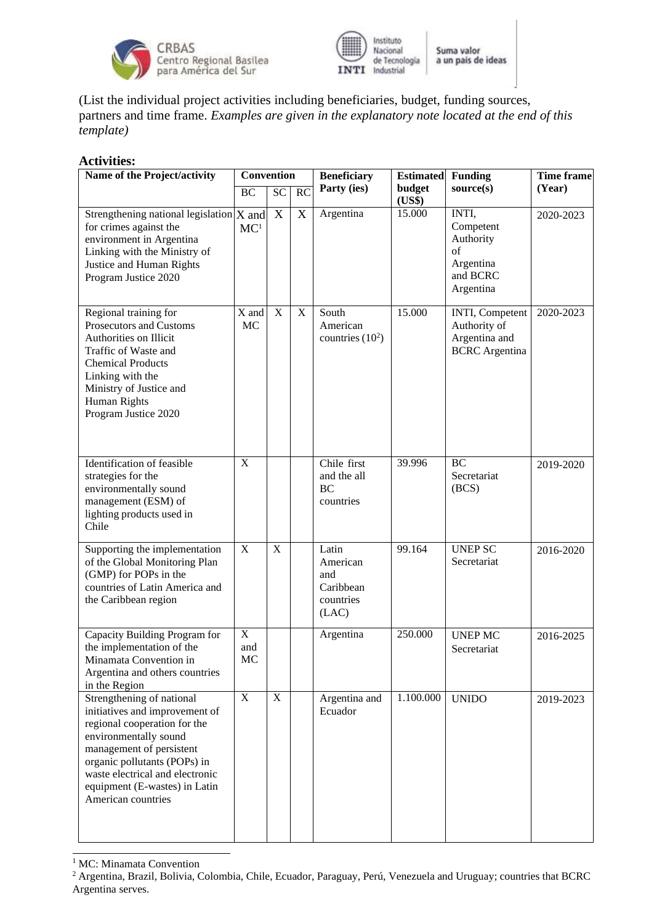



(List the individual project activities including beneficiaries, budget, funding sources, partners and time frame. *Examples are given in the explanatory note located at the end of this template)*

#### **Activities:**

| Name of the Project/activity                                                                                                                                                                                                                                               | <b>Convention</b>           |             |                 | <b>Beneficiary</b>                                          | <b>Estimated</b> | <b>Funding</b>                                                              | <b>Time frame</b> |
|----------------------------------------------------------------------------------------------------------------------------------------------------------------------------------------------------------------------------------------------------------------------------|-----------------------------|-------------|-----------------|-------------------------------------------------------------|------------------|-----------------------------------------------------------------------------|-------------------|
|                                                                                                                                                                                                                                                                            | <b>BC</b>                   | <b>SC</b>   | $\overline{RC}$ | Party (ies)                                                 | budget<br>(US\$) | source(s)                                                                   | (Year)            |
| Strengthening national legislation $X$ and<br>for crimes against the<br>environment in Argentina<br>Linking with the Ministry of<br>Justice and Human Rights<br>Program Justice 2020                                                                                       | MC <sup>1</sup>             | X           | X               | Argentina                                                   | 15.000           | INTI,<br>Competent<br>Authority<br>of<br>Argentina<br>and BCRC<br>Argentina | 2020-2023         |
| Regional training for<br>Prosecutors and Customs<br>Authorities on Illicit<br>Traffic of Waste and<br><b>Chemical Products</b><br>Linking with the<br>Ministry of Justice and<br>Human Rights<br>Program Justice 2020                                                      | X and<br>MC                 | X           | X               | South<br>American<br>countries $(10^2)$                     | 15.000           | INTI, Competent<br>Authority of<br>Argentina and<br><b>BCRC</b> Argentina   | 2020-2023         |
| Identification of feasible<br>strategies for the<br>environmentally sound<br>management (ESM) of<br>lighting products used in<br>Chile                                                                                                                                     | X                           |             |                 | Chile first<br>and the all<br><b>BC</b><br>countries        | 39.996           | <b>BC</b><br>Secretariat<br>(BCS)                                           | 2019-2020         |
| Supporting the implementation<br>of the Global Monitoring Plan<br>(GMP) for POPs in the<br>countries of Latin America and<br>the Caribbean region                                                                                                                          | $\mathbf X$                 | X           |                 | Latin<br>American<br>and<br>Caribbean<br>countries<br>(LAC) | 99.164           | <b>UNEP SC</b><br>Secretariat                                               | 2016-2020         |
| Capacity Building Program for<br>the implementation of the<br>Minamata Convention in<br>Argentina and others countries<br>in the Region                                                                                                                                    | $\overline{X}$<br>and<br>MC |             |                 | Argentina                                                   | 250.000          | <b>UNEP MC</b><br>Secretariat                                               | 2016-2025         |
| Strengthening of national<br>initiatives and improvement of<br>regional cooperation for the<br>environmentally sound<br>management of persistent<br>organic pollutants (POPs) in<br>waste electrical and electronic<br>equipment (E-wastes) in Latin<br>American countries | $\mathbf X$                 | $\mathbf X$ |                 | Argentina and<br>Ecuador                                    | 1.100.000        | <b>UNIDO</b>                                                                | 2019-2023         |

<sup>1</sup> MC: Minamata Convention

<sup>2</sup> Argentina, Brazil, Bolivia, Colombia, Chile, Ecuador, Paraguay, Perú, Venezuela and Uruguay; countries that BCRC Argentina serves.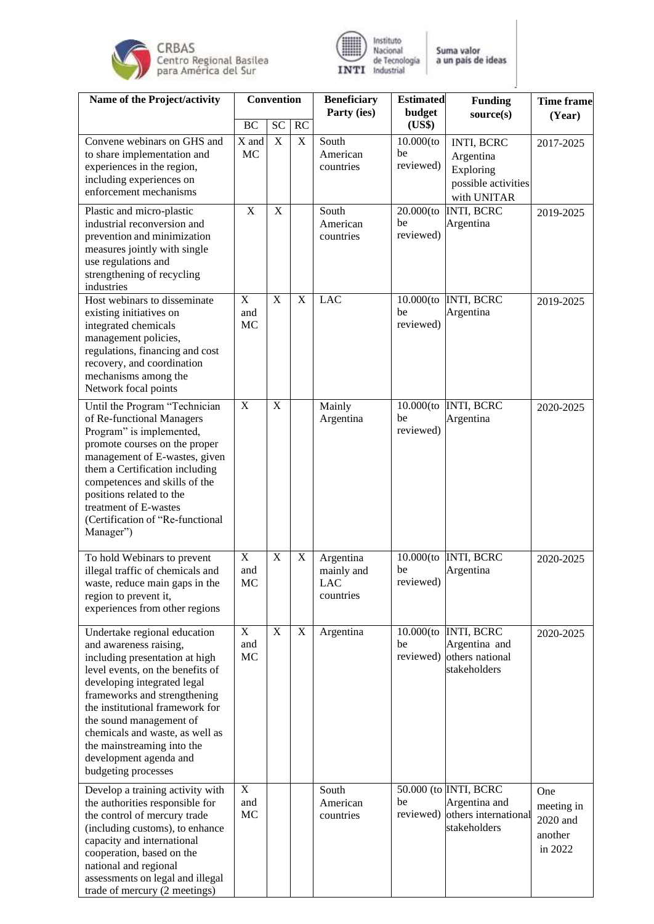



| Name of the Project/activity                                                                                                                                                                                                                                                                                                                                                | <b>Convention</b>        |                       |             | <b>Beneficiary</b>                          | <b>Estimated</b>                | <b>Funding</b>                                                                     | <b>Time frame</b>                                   |
|-----------------------------------------------------------------------------------------------------------------------------------------------------------------------------------------------------------------------------------------------------------------------------------------------------------------------------------------------------------------------------|--------------------------|-----------------------|-------------|---------------------------------------------|---------------------------------|------------------------------------------------------------------------------------|-----------------------------------------------------|
|                                                                                                                                                                                                                                                                                                                                                                             | <b>BC</b>                | <b>SC</b>             | RC          | Party (ies)                                 | budget<br>(US\$)                | source(s)                                                                          | (Year)                                              |
| Convene webinars on GHS and<br>to share implementation and<br>experiences in the region,<br>including experiences on<br>enforcement mechanisms                                                                                                                                                                                                                              | X and<br>MC              | $\mathbf X$           | $\mathbf X$ | South<br>American<br>countries              | $10.000$ (to<br>be<br>reviewed) | INTI, BCRC<br>Argentina<br>Exploring<br>possible activities<br>with UNITAR         | 2017-2025                                           |
| Plastic and micro-plastic<br>industrial reconversion and<br>prevention and minimization<br>measures jointly with single<br>use regulations and<br>strengthening of recycling<br>industries                                                                                                                                                                                  | X                        | $\overline{\text{X}}$ |             | South<br>American<br>countries              | $20.000$ (to<br>be<br>reviewed) | <b>INTI, BCRC</b><br>Argentina                                                     | 2019-2025                                           |
| Host webinars to disseminate<br>existing initiatives on<br>integrated chemicals<br>management policies,<br>regulations, financing and cost<br>recovery, and coordination<br>mechanisms among the<br>Network focal points                                                                                                                                                    | $\mathbf X$<br>and<br>MC | X                     | $\mathbf X$ | <b>LAC</b>                                  | $10.000$ (to<br>be<br>reviewed) | <b>INTI, BCRC</b><br>Argentina                                                     | 2019-2025                                           |
| Until the Program "Technician<br>of Re-functional Managers<br>Program" is implemented,<br>promote courses on the proper<br>management of E-wastes, given<br>them a Certification including<br>competences and skills of the<br>positions related to the<br>treatment of E-wastes<br>(Certification of "Re-functional<br>Manager")                                           | $\overline{X}$           | $\mathbf X$           |             | Mainly<br>Argentina                         | $10.000$ (to<br>be<br>reviewed) | <b>INTI, BCRC</b><br>Argentina                                                     | 2020-2025                                           |
| To hold Webinars to prevent<br>illegal traffic of chemicals and<br>waste, reduce main gaps in the<br>region to prevent it,<br>experiences from other regions                                                                                                                                                                                                                | $\mathbf X$<br>and<br>МC | $\mathbf X$           | $\mathbf X$ | Argentina<br>mainly and<br>LAC<br>countries | $10.000$ (to<br>be<br>reviewed) | <b>INTI, BCRC</b><br>Argentina                                                     | 2020-2025                                           |
| Undertake regional education<br>and awareness raising,<br>including presentation at high<br>level events, on the benefits of<br>developing integrated legal<br>frameworks and strengthening<br>the institutional framework for<br>the sound management of<br>chemicals and waste, as well as<br>the mainstreaming into the<br>development agenda and<br>budgeting processes | $\mathbf X$<br>and<br>MC | $\mathbf X$           | $\mathbf X$ | Argentina                                   | be                              | 10.000(to INTI, BCRC<br>Argentina and<br>reviewed) others national<br>stakeholders | 2020-2025                                           |
| Develop a training activity with<br>the authorities responsible for<br>the control of mercury trade<br>(including customs), to enhance<br>capacity and international<br>cooperation, based on the<br>national and regional<br>assessments on legal and illegal<br>trade of mercury (2 meetings)                                                                             | $\mathbf X$<br>and<br>MC |                       |             | South<br>American<br>countries              | be<br>reviewed)                 | 50.000 (to INTI, BCRC<br>Argentina and<br>others international<br>stakeholders     | One<br>meeting in<br>2020 and<br>another<br>in 2022 |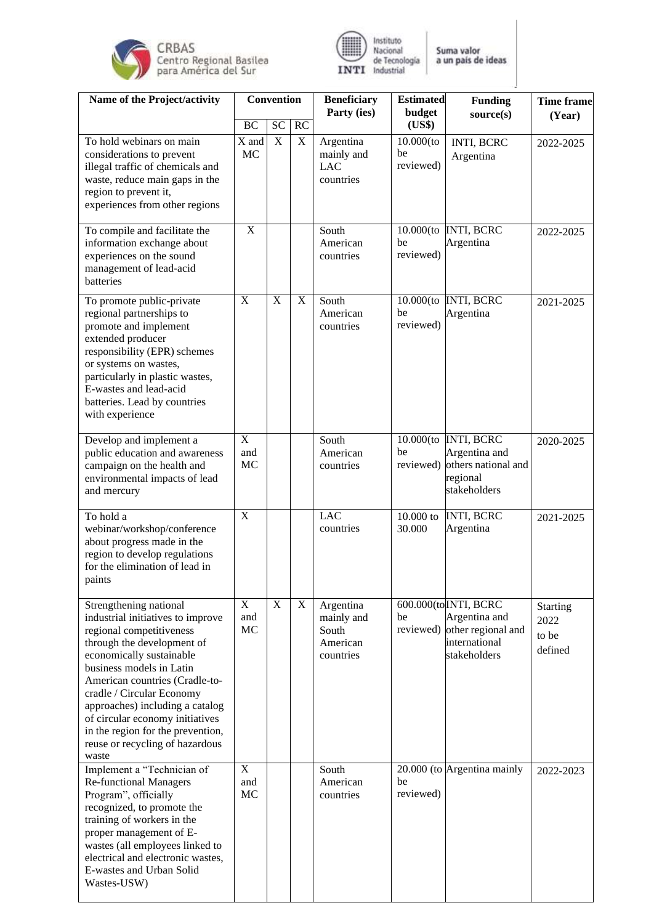



| Name of the Project/activity                                                                                                                                                                                                                                                                                                                                                                        | <b>Convention</b>                    |                |                           | <b>Beneficiary</b><br>Party (ies)                         | <b>Estimated</b>                | <b>Funding</b>                                                                                | <b>Time frame</b>                    |
|-----------------------------------------------------------------------------------------------------------------------------------------------------------------------------------------------------------------------------------------------------------------------------------------------------------------------------------------------------------------------------------------------------|--------------------------------------|----------------|---------------------------|-----------------------------------------------------------|---------------------------------|-----------------------------------------------------------------------------------------------|--------------------------------------|
|                                                                                                                                                                                                                                                                                                                                                                                                     | <b>BC</b>                            | <b>SC</b>      | RC                        |                                                           | budget<br>(US\$)                | source(s)                                                                                     | (Year)                               |
| To hold webinars on main<br>considerations to prevent<br>illegal traffic of chemicals and<br>waste, reduce main gaps in the<br>region to prevent it,<br>experiences from other regions                                                                                                                                                                                                              | X and<br>MC                          | $\mathbf X$    | $\mathbf X$               | Argentina<br>mainly and<br><b>LAC</b><br>countries        | $10.000$ (to<br>be<br>reviewed) | INTI, BCRC<br>Argentina                                                                       | 2022-2025                            |
| To compile and facilitate the<br>information exchange about<br>experiences on the sound<br>management of lead-acid<br>batteries                                                                                                                                                                                                                                                                     | $\mathbf X$                          |                |                           | South<br>American<br>countries                            | be<br>reviewed)                 | 10.000(to INTI, BCRC<br>Argentina                                                             | 2022-2025                            |
| To promote public-private<br>regional partnerships to<br>promote and implement<br>extended producer<br>responsibility (EPR) schemes<br>or systems on wastes,<br>particularly in plastic wastes,<br>E-wastes and lead-acid<br>batteries. Lead by countries<br>with experience                                                                                                                        | $\mathbf X$                          | $\mathbf X$    | $\boldsymbol{\mathrm{X}}$ | South<br>American<br>countries                            | $10.000$ (to<br>be<br>reviewed) | <b>INTI, BCRC</b><br>Argentina                                                                | 2021-2025                            |
| Develop and implement a<br>public education and awareness<br>campaign on the health and<br>environmental impacts of lead<br>and mercury                                                                                                                                                                                                                                                             | $\mathbf X$<br>and<br>MC             |                |                           | South<br>American<br>countries                            | be<br>reviewed)                 | 10.000(to INTI, BCRC<br>Argentina and<br>others national and<br>regional<br>stakeholders      | 2020-2025                            |
| To hold a<br>webinar/workshop/conference<br>about progress made in the<br>region to develop regulations<br>for the elimination of lead in<br>paints                                                                                                                                                                                                                                                 | $\overline{X}$                       |                |                           | <b>LAC</b><br>countries                                   | 10.000 to<br>30.000             | <b>INTI, BCRC</b><br>Argentina                                                                | 2021-2025                            |
| Strengthening national<br>industrial initiatives to improve<br>regional competitiveness<br>through the development of<br>economically sustainable<br>business models in Latin<br>American countries (Cradle-to-<br>cradle / Circular Economy<br>approaches) including a catalog<br>of circular economy initiatives<br>in the region for the prevention,<br>reuse or recycling of hazardous<br>waste | X<br>and<br>MC                       | $\overline{X}$ | $\boldsymbol{\mathrm{X}}$ | Argentina<br>mainly and<br>South<br>American<br>countries | be<br>reviewed)                 | 600.000(to INTI, BCRC<br>Argentina and<br>other regional and<br>international<br>stakeholders | Starting<br>2022<br>to be<br>defined |
| Implement a "Technician of<br><b>Re-functional Managers</b><br>Program", officially<br>recognized, to promote the<br>training of workers in the<br>proper management of E-<br>wastes (all employees linked to<br>electrical and electronic wastes,<br>E-wastes and Urban Solid<br>Wastes-USW)                                                                                                       | $\overline{\mathrm{X}}$<br>and<br>MC |                |                           | South<br>American<br>countries                            | be<br>reviewed)                 | 20.000 (to Argentina mainly                                                                   | 2022-2023                            |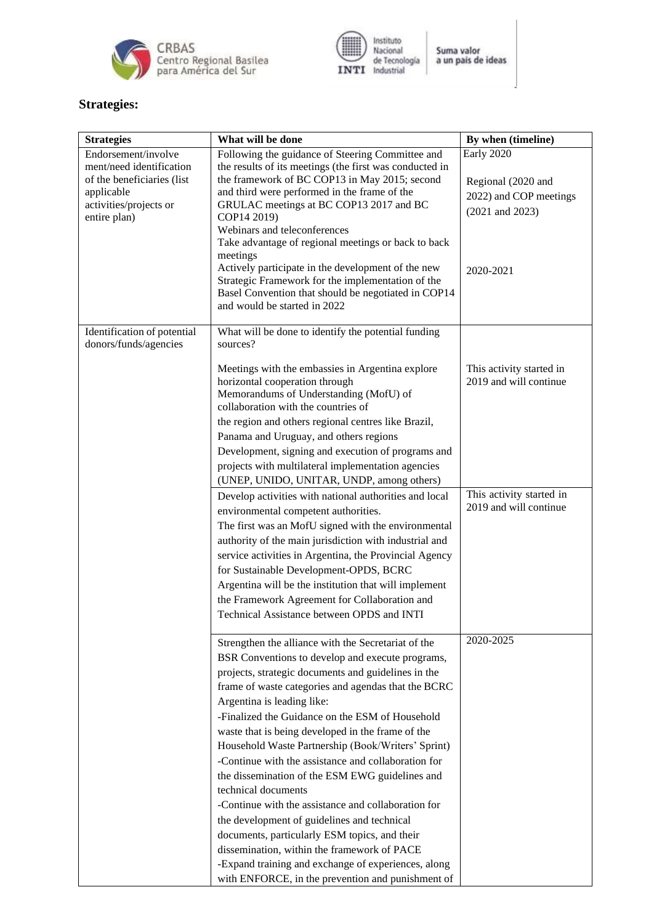



# **Strategies:**

| <b>Strategies</b>                               | What will be done                                                                                           | By when (timeline)       |  |  |
|-------------------------------------------------|-------------------------------------------------------------------------------------------------------------|--------------------------|--|--|
| Endorsement/involve<br>ment/need identification | Following the guidance of Steering Committee and<br>the results of its meetings (the first was conducted in | Early 2020               |  |  |
| of the beneficiaries (list                      | the framework of BC COP13 in May 2015; second<br>and third were performed in the frame of the               | Regional (2020 and       |  |  |
| applicable<br>activities/projects or            | GRULAC meetings at BC COP13 2017 and BC                                                                     | 2022) and COP meetings   |  |  |
| entire plan)                                    | COP14 2019)                                                                                                 | $(2021$ and $2023)$      |  |  |
|                                                 | Webinars and teleconferences                                                                                |                          |  |  |
|                                                 | Take advantage of regional meetings or back to back                                                         |                          |  |  |
|                                                 | meetings<br>Actively participate in the development of the new                                              | 2020-2021                |  |  |
|                                                 | Strategic Framework for the implementation of the                                                           |                          |  |  |
|                                                 | Basel Convention that should be negotiated in COP14                                                         |                          |  |  |
|                                                 | and would be started in 2022                                                                                |                          |  |  |
| Identification of potential                     | What will be done to identify the potential funding                                                         |                          |  |  |
| donors/funds/agencies                           | sources?                                                                                                    |                          |  |  |
|                                                 | Meetings with the embassies in Argentina explore                                                            | This activity started in |  |  |
|                                                 | horizontal cooperation through                                                                              | 2019 and will continue   |  |  |
|                                                 | Memorandums of Understanding (MofU) of                                                                      |                          |  |  |
|                                                 | collaboration with the countries of                                                                         |                          |  |  |
|                                                 | the region and others regional centres like Brazil,<br>Panama and Uruguay, and others regions               |                          |  |  |
|                                                 | Development, signing and execution of programs and                                                          |                          |  |  |
|                                                 | projects with multilateral implementation agencies                                                          |                          |  |  |
|                                                 | (UNEP, UNIDO, UNITAR, UNDP, among others)                                                                   |                          |  |  |
|                                                 | Develop activities with national authorities and local                                                      | This activity started in |  |  |
|                                                 | environmental competent authorities.                                                                        | 2019 and will continue   |  |  |
|                                                 | The first was an MofU signed with the environmental                                                         |                          |  |  |
|                                                 | authority of the main jurisdiction with industrial and                                                      |                          |  |  |
|                                                 | service activities in Argentina, the Provincial Agency                                                      |                          |  |  |
|                                                 | for Sustainable Development-OPDS, BCRC                                                                      |                          |  |  |
|                                                 | Argentina will be the institution that will implement                                                       |                          |  |  |
|                                                 | the Framework Agreement for Collaboration and                                                               |                          |  |  |
|                                                 | Technical Assistance between OPDS and INTI                                                                  |                          |  |  |
|                                                 | Strengthen the alliance with the Secretariat of the                                                         | 2020-2025                |  |  |
|                                                 | BSR Conventions to develop and execute programs,                                                            |                          |  |  |
|                                                 | projects, strategic documents and guidelines in the                                                         |                          |  |  |
|                                                 | frame of waste categories and agendas that the BCRC                                                         |                          |  |  |
|                                                 | Argentina is leading like:                                                                                  |                          |  |  |
|                                                 | -Finalized the Guidance on the ESM of Household                                                             |                          |  |  |
|                                                 | waste that is being developed in the frame of the                                                           |                          |  |  |
|                                                 | Household Waste Partnership (Book/Writers' Sprint)<br>-Continue with the assistance and collaboration for   |                          |  |  |
|                                                 | the dissemination of the ESM EWG guidelines and                                                             |                          |  |  |
|                                                 | technical documents                                                                                         |                          |  |  |
|                                                 | -Continue with the assistance and collaboration for                                                         |                          |  |  |
|                                                 | the development of guidelines and technical                                                                 |                          |  |  |
|                                                 | documents, particularly ESM topics, and their                                                               |                          |  |  |
|                                                 | dissemination, within the framework of PACE                                                                 |                          |  |  |
|                                                 | -Expand training and exchange of experiences, along                                                         |                          |  |  |
|                                                 | with ENFORCE, in the prevention and punishment of                                                           |                          |  |  |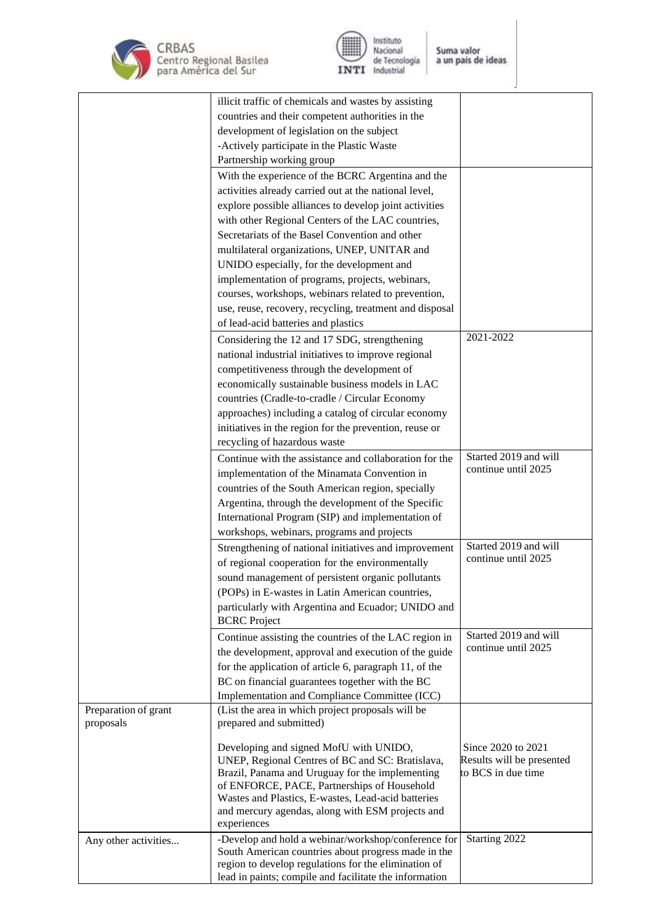



|                      | illicit traffic of chemicals and wastes by assisting                                           |                           |
|----------------------|------------------------------------------------------------------------------------------------|---------------------------|
|                      | countries and their competent authorities in the                                               |                           |
|                      | development of legislation on the subject                                                      |                           |
|                      | -Actively participate in the Plastic Waste                                                     |                           |
|                      | Partnership working group                                                                      |                           |
|                      | With the experience of the BCRC Argentina and the                                              |                           |
|                      | activities already carried out at the national level,                                          |                           |
|                      | explore possible alliances to develop joint activities                                         |                           |
|                      | with other Regional Centers of the LAC countries,                                              |                           |
|                      | Secretariats of the Basel Convention and other                                                 |                           |
|                      | multilateral organizations, UNEP, UNITAR and                                                   |                           |
|                      | UNIDO especially, for the development and                                                      |                           |
|                      | implementation of programs, projects, webinars,                                                |                           |
|                      | courses, workshops, webinars related to prevention,                                            |                           |
|                      | use, reuse, recovery, recycling, treatment and disposal                                        |                           |
|                      | of lead-acid batteries and plastics                                                            |                           |
|                      | Considering the 12 and 17 SDG, strengthening                                                   | 2021-2022                 |
|                      | national industrial initiatives to improve regional                                            |                           |
|                      | competitiveness through the development of                                                     |                           |
|                      | economically sustainable business models in LAC                                                |                           |
|                      | countries (Cradle-to-cradle / Circular Economy                                                 |                           |
|                      | approaches) including a catalog of circular economy                                            |                           |
|                      | initiatives in the region for the prevention, reuse or                                         |                           |
|                      | recycling of hazardous waste                                                                   |                           |
|                      | Continue with the assistance and collaboration for the                                         | Started 2019 and will     |
|                      | implementation of the Minamata Convention in                                                   | continue until 2025       |
|                      | countries of the South American region, specially                                              |                           |
|                      | Argentina, through the development of the Specific                                             |                           |
|                      | International Program (SIP) and implementation of                                              |                           |
|                      | workshops, webinars, programs and projects                                                     |                           |
|                      |                                                                                                | Started 2019 and will     |
|                      | Strengthening of national initiatives and improvement                                          | continue until 2025       |
|                      | of regional cooperation for the environmentally                                                |                           |
|                      | sound management of persistent organic pollutants                                              |                           |
|                      | (POPs) in E-wastes in Latin American countries,                                                |                           |
|                      | particularly with Argentina and Ecuador; UNIDO and<br><b>BCRC</b> Project                      |                           |
|                      | Continue assisting the countries of the LAC region in                                          | Started 2019 and will     |
|                      | the development, approval and execution of the guide                                           | continue until 2025       |
|                      | for the application of article 6, paragraph 11, of the                                         |                           |
|                      | BC on financial guarantees together with the BC                                                |                           |
|                      | Implementation and Compliance Committee (ICC)                                                  |                           |
| Preparation of grant | (List the area in which project proposals will be                                              |                           |
| proposals            | prepared and submitted)                                                                        |                           |
|                      | Developing and signed MofU with UNIDO,                                                         | Since 2020 to 2021        |
|                      | UNEP, Regional Centres of BC and SC: Bratislava,                                               | Results will be presented |
|                      | Brazil, Panama and Uruguay for the implementing<br>of ENFORCE, PACE, Partnerships of Household | to BCS in due time        |
|                      | Wastes and Plastics, E-wastes, Lead-acid batteries                                             |                           |
|                      | and mercury agendas, along with ESM projects and                                               |                           |
|                      | experiences                                                                                    |                           |
| Any other activities | -Develop and hold a webinar/workshop/conference for                                            | Starting 2022             |
|                      | South American countries about progress made in the                                            |                           |
|                      | region to develop regulations for the elimination of                                           |                           |
|                      | lead in paints; compile and facilitate the information                                         |                           |